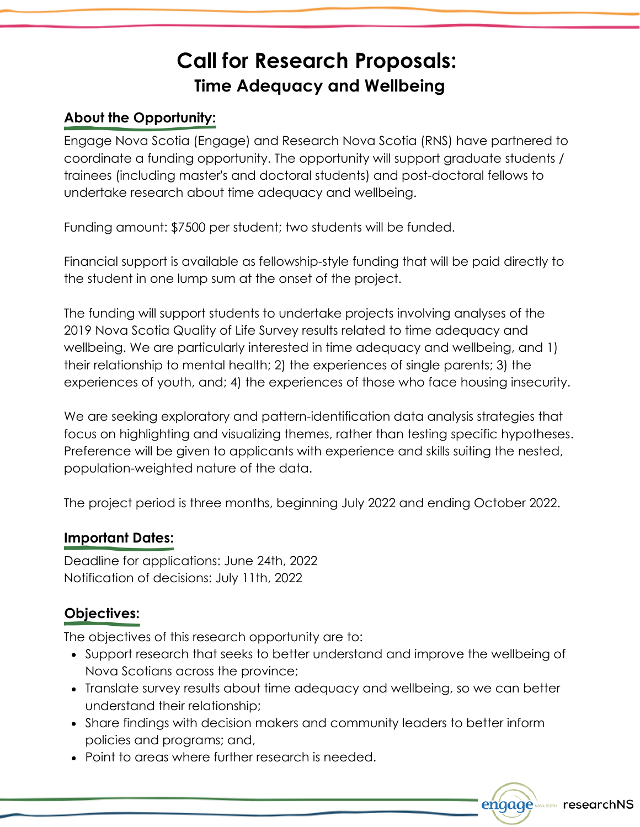# **Call for Research Proposals: Time Adequacy and Wellbeing**

## **About the Opportunity:**

Engage Nova Scotia (Engage) and Research Nova Scotia (RNS) have partnered to coordinate a funding opportunity. The opportunity will support graduate students / trainees (including master's and doctoral students) and post-doctoral fellows to undertake research about time adequacy and wellbeing.

Funding amount: \$7500 per student; two students will be funded.

Financial support is available as fellowship-style funding that will be paid directly to the student in one lump sum at the onset of the project.

The funding will support students to undertake projects involving analyses of the 2019 Nova Scotia Quality of Life Survey results related to time adequacy and wellbeing. We are particularly interested in time adequacy and wellbeing, and 1) their relationship to mental health; 2) the experiences of single parents; 3) the experiences of youth, and; 4) the experiences of those who face housing insecurity.

We are seeking exploratory and pattern-identification data analysis strategies that focus on highlighting and visualizing themes, rather than testing specific hypotheses. Preference will be given to applicants with experience and skills suiting the nested, population-weighted nature of the data.

The project period is three months, beginning July 2022 and ending October 2022.

#### **Important Dates:**

Deadline for applications: June 24th, 2022 Notification of decisions: July 11th, 2022

### **Objectives:**

The objectives of this research opportunity are to:

- Support research that seeks to better understand and improve the wellbeing of Nova Scotians across the province;
- Translate survey results about time adequacy and wellbeing, so we can better understand their relationship;
- Share findings with decision makers and community leaders to better inform policies and programs; and,
- Point to areas where further research is needed.

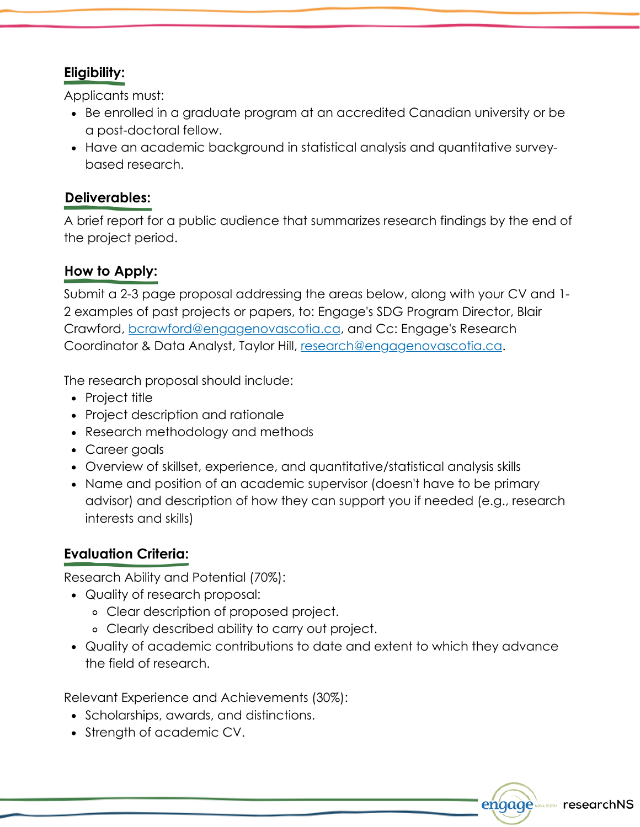# **Eligibility:**

Applicants must:

- Be enrolled in a graduate program at an accredited Canadian university or be a post-doctoral fellow.
- Have an academic background in statistical analysis and quantitative surveybased research.

## **Deliverables:**

A brief report for a public audience that summarizes research findings by the end of the project period.

# **How to Apply:**

Submit a 2-3 page proposal addressing the areas below, along with your CV and 1- 2 examples of past projects or papers, to: Engage's SDG Program Director, Blair Crawford, [bcrawford@engagenovascotia.ca,](mailto:bcrawford@engagenovascotia.ca) and Cc: Engage's Research Coordinator & Data Analyst, Taylor Hill, [research@engagenovascotia.ca](mailto:research@engagenovascotia.ca).

The research proposal should include:

- Project title
- Project description and rationale
- Research methodology and methods
- Career goals
- Overview of skillset, experience, and quantitative/statistical analysis skills
- Name and position of an academic supervisor (doesn't have to be primary advisor) and description of how they can support you if needed (e.g., research interests and skills)

# **Evaluation Criteria:**

Research Ability and Potential (70%):

- Quality of research proposal:
	- Clear description of proposed project.
	- Clearly described ability to carry out project.
- Quality of academic contributions to date and extent to which they advance the field of research.

Relevant Experience and Achievements (30%):

- Scholarships, awards, and distinctions.
- Strength of academic CV.